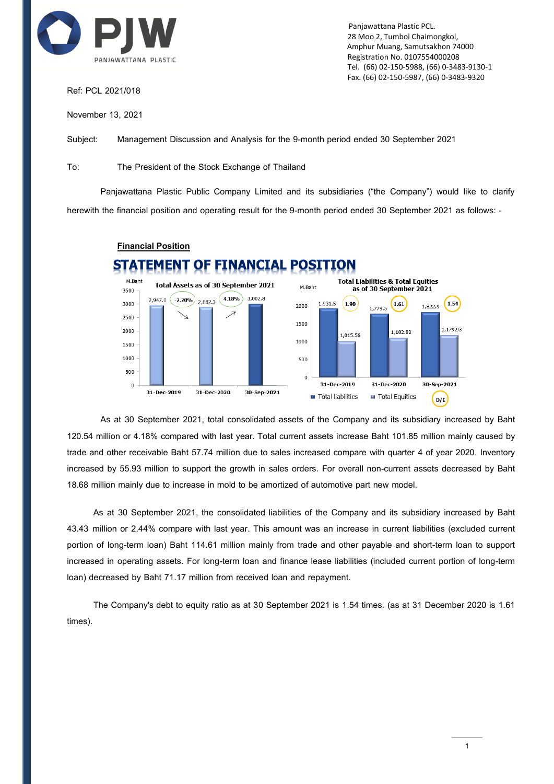

Ref: PCL 2021/018

November 13, 2021

 Panjawattana Plastic PCL. 28 Moo 2, Tumbol Chaimongkol, Amphur Muang, Samutsakhon 74000 Registration No. 0107554000208 Tel. (66) 02-150-5988, (66) 0-3483-9130-1 Fax. (66) 02-150-5987, (66) 0-3483-9320

Subject: Management Discussion and Analysis for the 9-month period ended 30 September 2021

To: The President of the Stock Exchange of Thailand

**Financial Position**

Panjawattana Plastic Public Company Limited and its subsidiaries ("the Company") would like to clarify herewith the financial position and operating result for the 9-month period ended 30 September 2021 as follows: -



As at 30 September 2021, total consolidated assets of the Company and its subsidiary increased by Baht 120.54 million or 4.18% compared with last year.Total current assets increase Baht 101.85 million mainly caused by trade and other receivable Baht 57.74 million due to sales increased compare with quarter 4 of year 2020. Inventory increased by 55.93 million to support the growth in sales orders. For overall non-current assets decreased by Baht 18.68 million mainly due to increase in mold to be amortized of automotive part new model.

As at 30 September 2021, the consolidated liabilities of the Company and its subsidiary increased by Baht 43.43 million or 2.44% compare with last year. This amount was an increase in current liabilities (excluded current portion of long-term loan) Baht 114.61 million mainly from trade and other payable and short-term loan to support increased in operating assets. For long-term loan and finance lease liabilities (included current portion of long-term loan) decreased by Baht 71.17 million from received loan and repayment.

The Company's debt to equity ratio as at 30 September 2021 is 1.54 times. (as at 31 December 2020 is 1.61 times).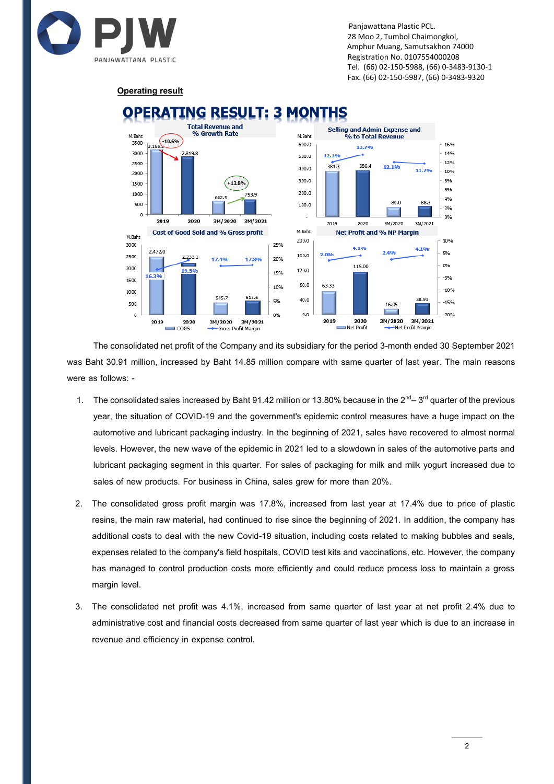

were as follows: -

 Panjawattana Plastic PCL. 28 Moo 2, Tumbol Chaimongkol, Amphur Muang, Samutsakhon 74000 Registration No. 0107554000208 Tel. (66) 02-150-5988, (66) 0-3483-9130-1 Fax. (66) 02-150-5987, (66) 0-3483-9320

## **Operating result**



## The consolidated net profit of the Company and its subsidiary for the period 3-month ended 30 September 2021 was Baht 30.91 million, increased by Baht 14.85 million compare with same quarter of last year. The main reasons

- 1. The consolidated sales increased by Baht 91.42 million or 13.80% because in the 2<sup>nd</sup>–3<sup>rd</sup> quarter of the previous year, the situation of COVID-19 and the government's epidemic control measures have a huge impact on the automotive and lubricant packaging industry. In the beginning of 2021, sales have recovered to almost normal levels. However, the new wave of the epidemic in 2021 led to a slowdown in sales of the automotive parts and lubricant packaging segment in this quarter. For sales of packaging for milk and milk yogurt increased due to sales of new products. For business in China, sales grew for more than 20%.
- 2. The consolidated gross profit margin was 17.8%, increased from last year at 17.4% due to price of plastic resins, the main raw material, had continued to rise since the beginning of 2021. In addition, the company has additional costs to deal with the new Covid-19 situation, including costs related to making bubbles and seals, expenses related to the company's field hospitals, COVID test kits and vaccinations, etc. However, the company has managed to control production costs more efficiently and could reduce process loss to maintain a gross margin level.
- 3. The consolidated net profit was 4.1%, increased from same quarter of last year at net profit 2.4% due to administrative cost and financial costs decreased from same quarter of last year which is due to an increase in revenue and efficiency in expense control.

## NG RESULT: 3 MONTHS